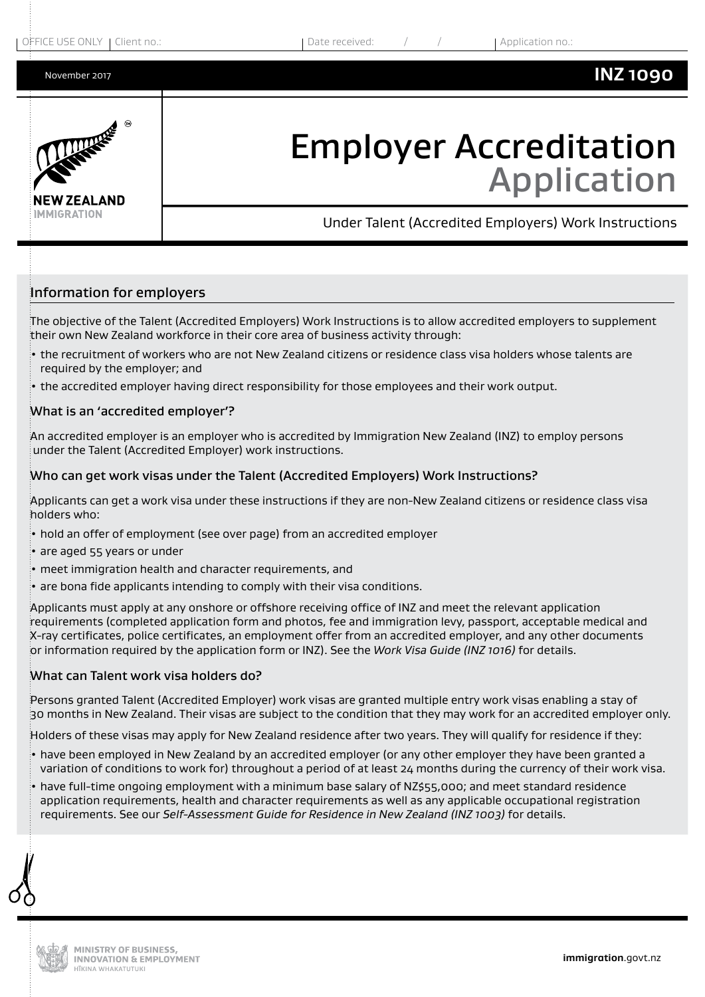

# Employer Accreditation Application

Under Talent (Accredited Employers) Work Instructions

## Information for employers

The objective of the Talent (Accredited Employers) Work Instructions is to allow accredited employers to supplement their own New Zealand workforce in their core area of business activity through:

- the recruitment of workers who are not New Zealand citizens or residence class visa holders whose talents are required by the employer; and
- the accredited employer having direct responsibility for those employees and their work output.

#### What is an 'accredited employer'?

An accredited employer is an employer who is accredited by Immigration New Zealand (INZ) to employ persons under the Talent (Accredited Employer) work instructions.

#### Who can get work visas under the Talent (Accredited Employers) Work Instructions?

Applicants can get a work visa under these instructions if they are non-New Zealand citizens or residence class visa holders who:

- hold an offer of employment (see over page) from an accredited employer
- are aged 55 years or under
- meet immigration health and character requirements, and
- $\cdot$  are bona fide applicants intending to comply with their visa conditions.

Applicants must apply at any onshore or offshore receiving office of INZ and meet the relevant application requirements (completed application form and photos, fee and immigration levy, passport, acceptable medical and X-ray certificates, police certificates, an employment offer from an accredited employer, and any other documents or information required by the application form or INZ). See the *Work Visa Guide (INZ 1016)* for details.

#### What can Talent work visa holders do?

Persons granted Talent (Accredited Employer) work visas are granted multiple entry work visas enabling a stay of 30 months in New Zealand. Their visas are subject to the condition that they may work for an accredited employer only.

Holders of these visas may apply for New Zealand residence after two years. They will qualify for residence if they:

- have been employed in New Zealand by an accredited employer (or any other employer they have been granted a variation of conditions to work for) throughout a period of at least 24 months during the currency of their work visa.
- have full-time ongoing employment with a minimum base salary of NZ\$55,000; and meet standard residence application requirements, health and character requirements as well as any applicable occupational registration requirements. See our *Self-Assessment Guide for Residence in New Zealand (INZ 1003)* for details.

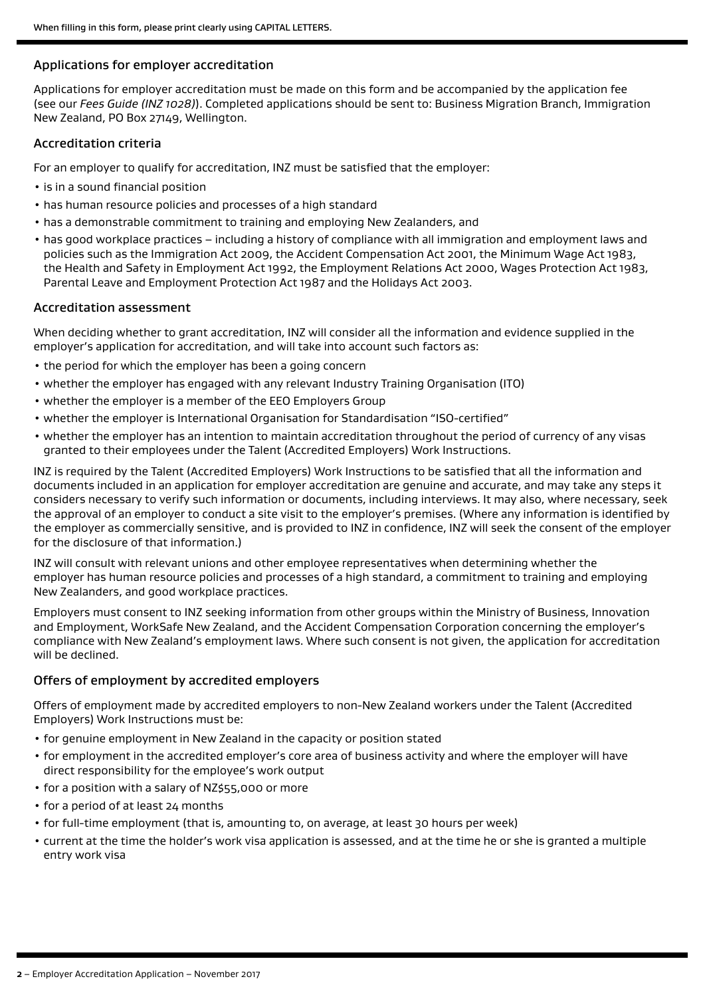#### Applications for employer accreditation

Applications for employer accreditation must be made on this form and be accompanied by the application fee (see our *Fees Guide (INZ 1028)*). Completed applications should be sent to: Business Migration Branch, Immigration New Zealand, PO Box 27149, Wellington.

#### Accreditation criteria

For an employer to qualify for accreditation, INZ must be satisfied that the employer:

- is in a sound financial position
- has human resource policies and processes of a high standard
- has a demonstrable commitment to training and employing New Zealanders, and
- has good workplace practices including a history of compliance with all immigration and employment laws and policies such as the Immigration Act 2009, the Accident Compensation Act 2001, the Minimum Wage Act 1983, the Health and Safety in Employment Act 1992, the Employment Relations Act 2000, Wages Protection Act 1983, Parental Leave and Employment Protection Act 1987 and the Holidays Act 2003.

#### Accreditation assessment

When deciding whether to grant accreditation, INZ will consider all the information and evidence supplied in the employer's application for accreditation, and will take into account such factors as:

- the period for which the employer has been a going concern
- whether the employer has engaged with any relevant Industry Training Organisation (ITO)
- whether the employer is a member of the EEO Employers Group
- whether the employer is International Organisation for Standardisation "ISO-certified"
- whether the employer has an intention to maintain accreditation throughout the period of currency of any visas granted to their employees under the Talent (Accredited Employers) Work Instructions.

INZ is required by the Talent (Accredited Employers) Work Instructions to be satisfied that all the information and documents included in an application for employer accreditation are genuine and accurate, and may take any steps it considers necessary to verify such information or documents, including interviews. It may also, where necessary, seek the approval of an employer to conduct a site visit to the employer's premises. (Where any information is identified by the employer as commercially sensitive, and is provided to INZ in confidence, INZ will seek the consent of the employer for the disclosure of that information.)

INZ will consult with relevant unions and other employee representatives when determining whether the employer has human resource policies and processes of a high standard, a commitment to training and employing New Zealanders, and good workplace practices.

Employers must consent to INZ seeking information from other groups within the Ministry of Business, Innovation and Employment, WorkSafe New Zealand, and the Accident Compensation Corporation concerning the employer's compliance with New Zealand's employment laws. Where such consent is not given, the application for accreditation will be declined.

### Offers of employment by accredited employers

Offers of employment made by accredited employers to non-New Zealand workers under the Talent (Accredited Employers) Work Instructions must be:

- for genuine employment in New Zealand in the capacity or position stated
- for employment in the accredited employer's core area of business activity and where the employer will have direct responsibility for the employee's work output
- for a position with a salary of NZ\$55,000 or more
- for a period of at least 24 months
- for full-time employment (that is, amounting to, on average, at least 30 hours per week)
- current at the time the holder's work visa application is assessed, and at the time he or she is granted a multiple entry work visa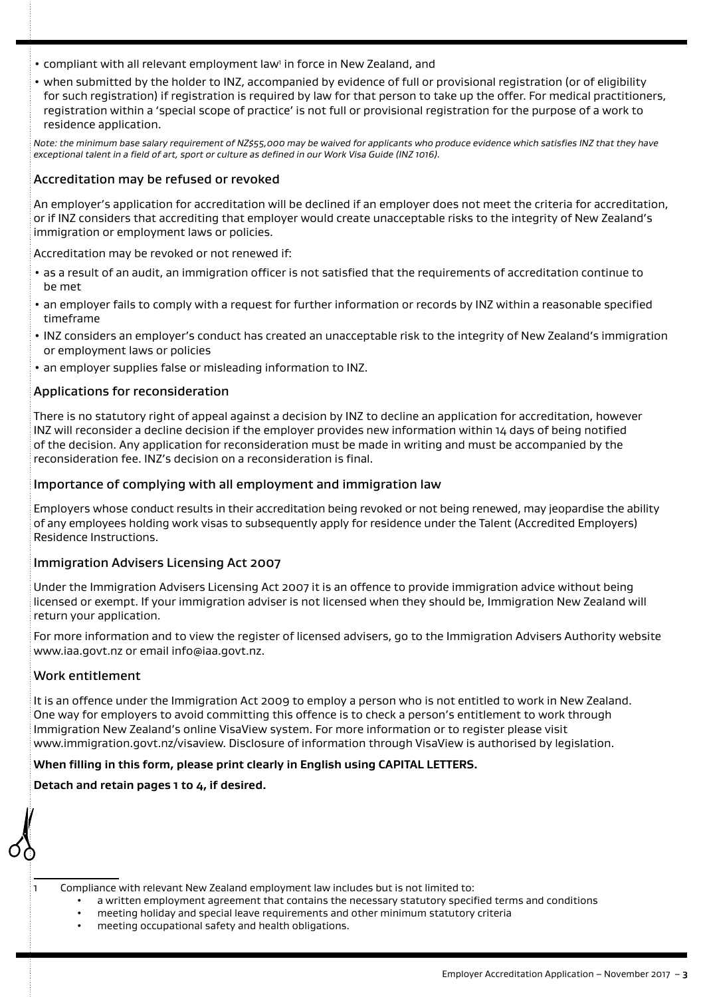• compliant with all relevant employment law<sup>1</sup> in force in New Zealand, and

• when submitted by the holder to INZ, accompanied by evidence of full or provisional registration (or of eligibility for such registration) if registration is required by law for that person to take up the offer. For medical practitioners, registration within a 'special scope of practice' is not full or provisional registration for the purpose of a work to residence application.

*Note: the minimum base salary requirement of NZ\$55,000 may be waived for applicants who produce evidence which satisfies INZ that they have exceptional talent in a field of art, sport or culture as defined in our Work Visa Guide (INZ 1016).*

#### Accreditation may be refused or revoked

An employer's application for accreditation will be declined if an employer does not meet the criteria for accreditation, or if INZ considers that accrediting that employer would create unacceptable risks to the integrity of New Zealand's immigration or employment laws or policies.

Accreditation may be revoked or not renewed if:

- as a result of an audit, an immigration officer is not satisfied that the requirements of accreditation continue to be met
- an employer fails to comply with a request for further information or records by INZ within a reasonable specified timeframe
- INZ considers an employer's conduct has created an unacceptable risk to the integrity of New Zealand's immigration or employment laws or policies
- an employer supplies false or misleading information to INZ.

#### Applications for reconsideration

There is no statutory right of appeal against a decision by INZ to decline an application for accreditation, however INZ will reconsider a decline decision if the employer provides new information within 14 days of being notified of the decision. Any application for reconsideration must be made in writing and must be accompanied by the reconsideration fee. INZ's decision on a reconsideration is final.

#### Importance of complying with all employment and immigration law

Employers whose conduct results in their accreditation being revoked or not being renewed, may jeopardise the ability of any employees holding work visas to subsequently apply for residence under the Talent (Accredited Employers) Residence Instructions.

#### Immigration Advisers Licensing Act 2007

Under the Immigration Advisers Licensing Act 2007 it is an offence to provide immigration advice without being licensed or exempt. If your immigration adviser is not licensed when they should be, Immigration New Zealand will return your application.

For more information and to view the register of licensed advisers, go to the Immigration Advisers Authority website www.iaa.govt.nz or email info@iaa.govt.nz.

#### Work entitlement

It is an offence under the Immigration Act 2009 to employ a person who is not entitled to work in New Zealand. One way for employers to avoid committing this offence is to check a person's entitlement to work through Immigration New Zealand's online VisaView system. For more information or to register please visit www.immigration.govt.nz/visaview. Disclosure of information through VisaView is authorised by legislation.

#### **When filling in this form, please print clearly in English using CAPITAL LETTERS.**

#### **Detach and retain pages 1 to 4, if desired.**

1 Compliance with relevant New Zealand employment law includes but is not limited to:

- a written employment agreement that contains the necessary statutory specified terms and conditions
- meeting holiday and special leave requirements and other minimum statutory criteria
- meeting occupational safety and health obligations.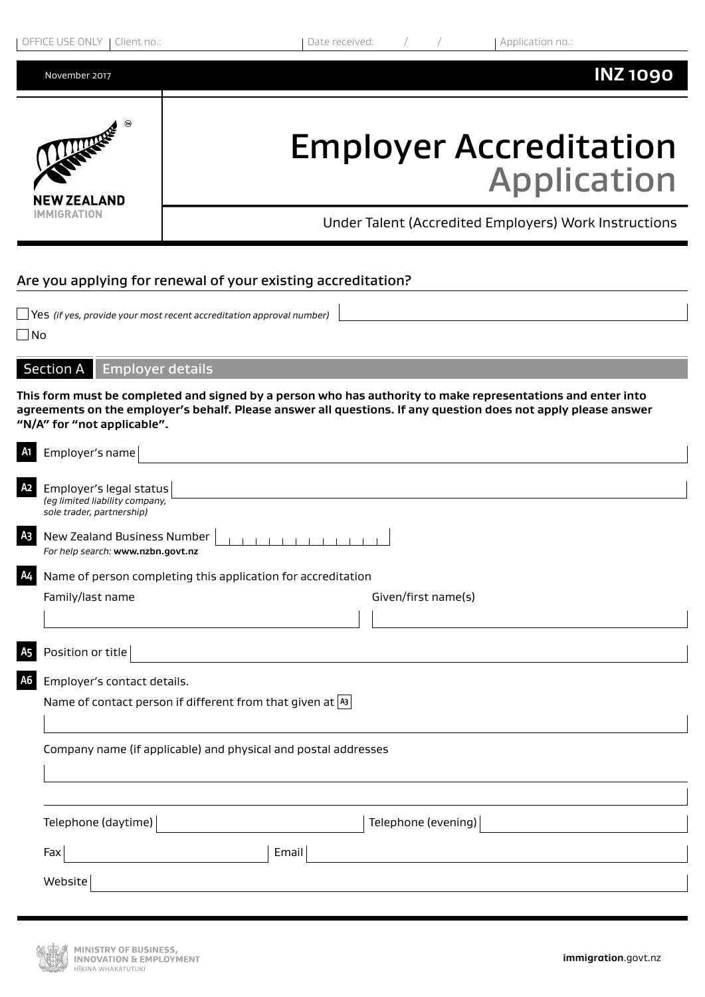| OFFICE USE ONLY 1  | Date received:                                        |
|--------------------|-------------------------------------------------------|
| Client no.:        | Application no.:                                      |
| November 2017      | <b>INZ1090</b>                                        |
| LA CONTRACTORIES   | <b>Employer Accreditation</b>                         |
| <b>NEW ZEALAND</b> | <b>Application</b>                                    |
| <b>IMMIGRATION</b> | Under Talent (Accredited Employers) Work Instructions |

## Are you applying for renewal of your existing accreditation?

Yes *(if yes, provide your most recent accreditation approval number)* 

 $\n **No**\n$ 

Section A Employer details

**This form must be completed and signed by a person who has authority to make representations and enter into agreements on the employer's behalf. Please answer all questions. If any question does not apply please answer "N/A" for "not applicable".**

| A1             | Employer's name                                                                        |
|----------------|----------------------------------------------------------------------------------------|
| A <sub>2</sub> | Employer's legal status<br>(eg limited liability company,<br>sole trader, partnership) |
| A <sub>3</sub> | New Zealand Business Number<br>For help search: www.nzbn.govt.nz                       |
| A4             | Name of person completing this application for accreditation                           |
|                | Family/last name<br>Given/first name(s)                                                |
|                |                                                                                        |
|                | Position or title                                                                      |
| А6             | Employer's contact details.                                                            |
|                | Name of contact person if different from that given at $ A3 $                          |
|                |                                                                                        |
|                | Company name (if applicable) and physical and postal addresses                         |
|                |                                                                                        |
|                |                                                                                        |
|                | Telephone (evening)<br>Telephone (daytime)                                             |
|                | Email<br>Fax                                                                           |
|                | Website                                                                                |
|                |                                                                                        |

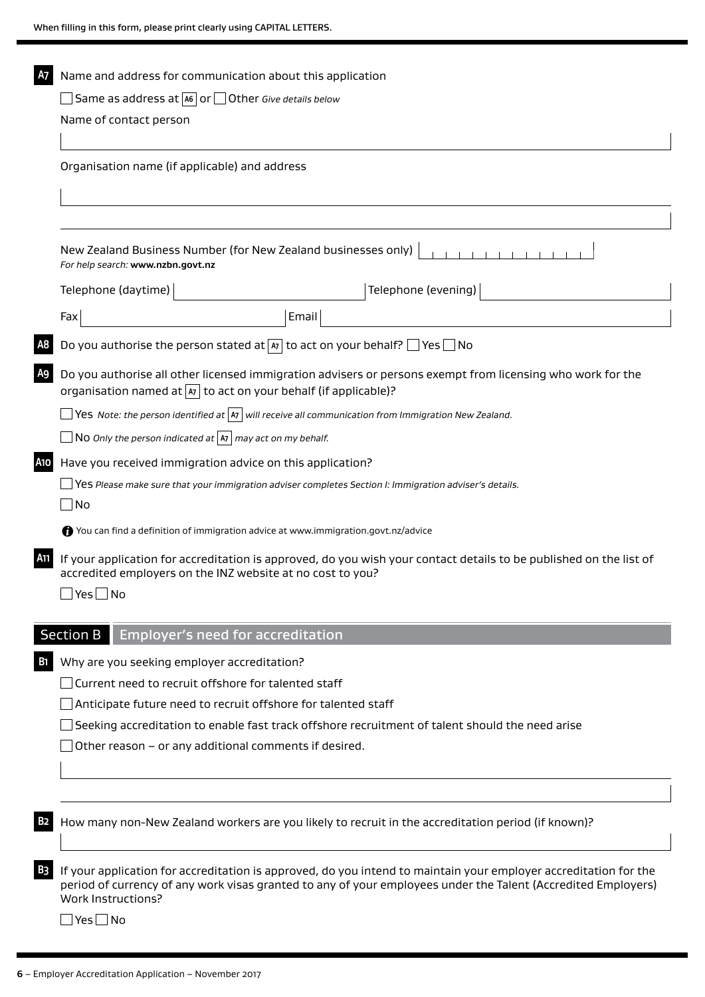| <b>A7</b><br>Name and address for communication about this application |                                                                                                                                                                                                                                   |  |  |
|------------------------------------------------------------------------|-----------------------------------------------------------------------------------------------------------------------------------------------------------------------------------------------------------------------------------|--|--|
|                                                                        | Same as address at $\boxed{46}$ or $\boxed{\phantom{1}}$ Other Give details below                                                                                                                                                 |  |  |
| Name of contact person                                                 |                                                                                                                                                                                                                                   |  |  |
|                                                                        | Organisation name (if applicable) and address                                                                                                                                                                                     |  |  |
|                                                                        |                                                                                                                                                                                                                                   |  |  |
|                                                                        | New Zealand Business Number (for New Zealand businesses only)<br>For help search: www.nzbn.govt.nz                                                                                                                                |  |  |
| Telephone (daytime)                                                    | Telephone (evening)                                                                                                                                                                                                               |  |  |
| Fax                                                                    | Email                                                                                                                                                                                                                             |  |  |
|                                                                        | Do you authorise the person stated at $\boxed{a_7}$ to act on your behalf? $\boxed{\phantom{a}}$ Yes $\boxed{\phantom{a}}$ No                                                                                                     |  |  |
|                                                                        | Do you authorise all other licensed immigration advisers or persons exempt from licensing who work for the<br>organisation named at $ x $ to act on your behalf (if applicable)?                                                  |  |  |
|                                                                        | $\Box$ Yes Note: the person identified at $ $ A $\overline{\ }$ will receive all communication from Immigration New Zealand.                                                                                                      |  |  |
|                                                                        | No Only the person indicated at $ x $ may act on my behalf.                                                                                                                                                                       |  |  |
| <b>A10</b>                                                             | Have you received immigration advice on this application?                                                                                                                                                                         |  |  |
|                                                                        | $\Box$ Yes Please make sure that your immigration adviser completes Section I: Immigration adviser's details.                                                                                                                     |  |  |
| $\exists$ No                                                           |                                                                                                                                                                                                                                   |  |  |
|                                                                        | ↑ You can find a definition of immigration advice at www.immigration.govt.nz/advice                                                                                                                                               |  |  |
| <b>A11</b>                                                             | If your application for accreditation is approved, do you wish your contact details to be published on the list of<br>accredited employers on the INZ website at no cost to you?                                                  |  |  |
| $\Box$ Yes $\Box$ No                                                   |                                                                                                                                                                                                                                   |  |  |
| <b>Section B</b>                                                       | <b>Employer's need for accreditation</b>                                                                                                                                                                                          |  |  |
|                                                                        | Why are you seeking employer accreditation?                                                                                                                                                                                       |  |  |
|                                                                        | Current need to recruit offshore for talented staff                                                                                                                                                                               |  |  |
|                                                                        | Anticipate future need to recruit offshore for talented staff                                                                                                                                                                     |  |  |
|                                                                        | Seeking accreditation to enable fast track offshore recruitment of talent should the need arise                                                                                                                                   |  |  |
|                                                                        | Other reason – or any additional comments if desired.                                                                                                                                                                             |  |  |
|                                                                        |                                                                                                                                                                                                                                   |  |  |
|                                                                        | How many non-New Zealand workers are you likely to recruit in the accreditation period (if known)?                                                                                                                                |  |  |
| <b>Work Instructions?</b>                                              | If your application for accreditation is approved, do you intend to maintain your employer accreditation for the<br>period of currency of any work visas granted to any of your employees under the Talent (Accredited Employers) |  |  |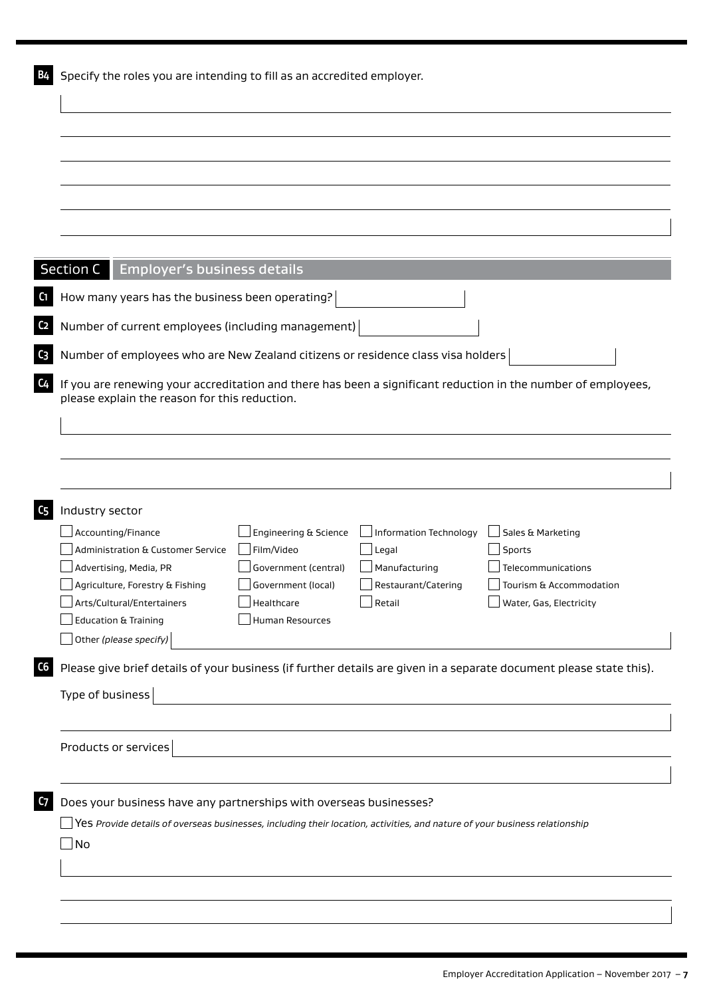| <b>Section C</b><br>Employer's business details                                                                                                                |                       |                                 |                             |
|----------------------------------------------------------------------------------------------------------------------------------------------------------------|-----------------------|---------------------------------|-----------------------------|
|                                                                                                                                                                |                       |                                 |                             |
| How many years has the business been operating?                                                                                                                |                       |                                 |                             |
| Number of current employees (including management)                                                                                                             |                       |                                 |                             |
| Number of employees who are New Zealand citizens or residence class visa holders                                                                               |                       |                                 |                             |
|                                                                                                                                                                |                       |                                 |                             |
| If you are renewing your accreditation and there has been a significant reduction in the number of employees,<br>please explain the reason for this reduction. |                       |                                 |                             |
|                                                                                                                                                                |                       |                                 |                             |
|                                                                                                                                                                |                       |                                 |                             |
|                                                                                                                                                                |                       |                                 |                             |
|                                                                                                                                                                |                       |                                 |                             |
|                                                                                                                                                                |                       |                                 |                             |
| Industry sector<br>Accounting/Finance                                                                                                                          | Engineering & Science |                                 |                             |
| Administration & Customer Service                                                                                                                              | Film/Video            | Information Technology<br>Legal | Sales & Marketing<br>Sports |
| Advertising, Media, PR                                                                                                                                         | Government (central)  | Manufacturing                   | Telecommunications          |
| Agriculture, Forestry & Fishing                                                                                                                                | Government (local)    | Restaurant/Catering             | Tourism & Accommodation     |
| Arts/Cultural/Entertainers                                                                                                                                     | Healthcare            | Retail                          | Water, Gas, Electricity     |
| Education & Training                                                                                                                                           | Human Resources       |                                 |                             |
| Other (please specify)                                                                                                                                         |                       |                                 |                             |
| Please give brief details of your business (if further details are given in a separate document please state this).                                            |                       |                                 |                             |
|                                                                                                                                                                |                       |                                 |                             |
| Type of business                                                                                                                                               |                       |                                 |                             |
|                                                                                                                                                                |                       |                                 |                             |
| Products or services                                                                                                                                           |                       |                                 |                             |
|                                                                                                                                                                |                       |                                 |                             |
|                                                                                                                                                                |                       |                                 |                             |
| Does your business have any partnerships with overseas businesses?                                                                                             |                       |                                 |                             |
| $\Box$ $\sf Yes$ Provide details of overseas businesses, including their location, activities, and nature of your business relationship                        |                       |                                 |                             |
|                                                                                                                                                                |                       |                                 |                             |
| $\Box$ No                                                                                                                                                      |                       |                                 |                             |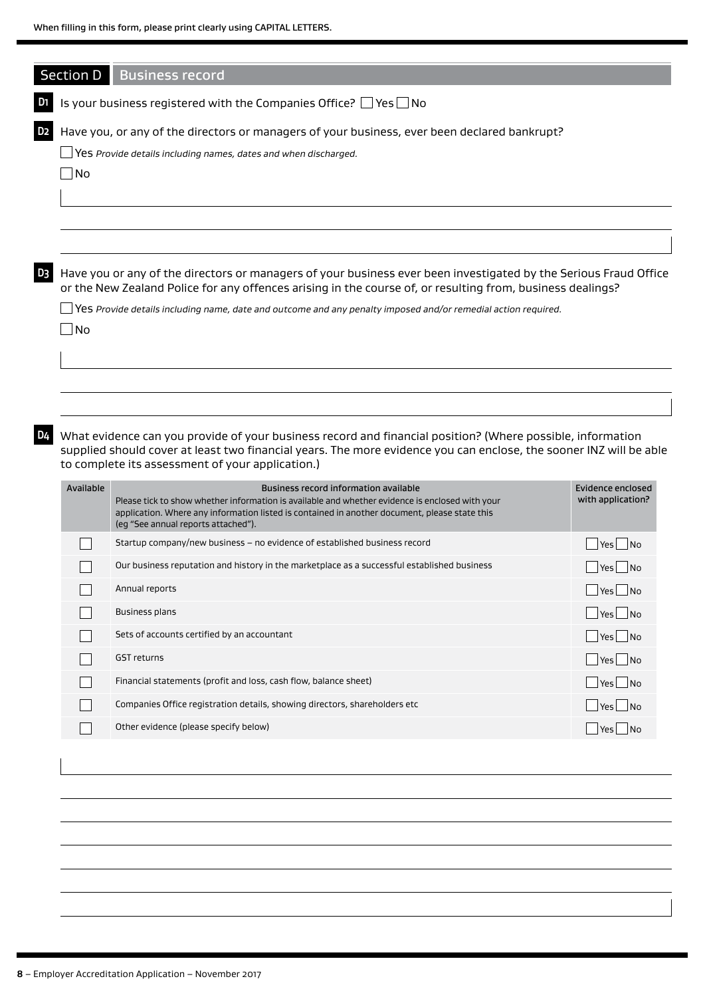|                             | <b>Business record</b>                                                                                                                                                                                                                                                               |                                                                           |  |  |
|-----------------------------|--------------------------------------------------------------------------------------------------------------------------------------------------------------------------------------------------------------------------------------------------------------------------------------|---------------------------------------------------------------------------|--|--|
| Section D                   |                                                                                                                                                                                                                                                                                      |                                                                           |  |  |
|                             | Is your business registered with the Companies Office? $\Box$ Yes $\Box$ No                                                                                                                                                                                                          |                                                                           |  |  |
|                             | Have you, or any of the directors or managers of your business, ever been declared bankrupt?                                                                                                                                                                                         |                                                                           |  |  |
|                             | Yes Provide details including names, dates and when discharged.                                                                                                                                                                                                                      |                                                                           |  |  |
| No                          |                                                                                                                                                                                                                                                                                      |                                                                           |  |  |
|                             |                                                                                                                                                                                                                                                                                      |                                                                           |  |  |
|                             |                                                                                                                                                                                                                                                                                      |                                                                           |  |  |
|                             |                                                                                                                                                                                                                                                                                      |                                                                           |  |  |
|                             | Have you or any of the directors or managers of your business ever been investigated by the Serious Fraud Office<br>or the New Zealand Police for any offences arising in the course of, or resulting from, business dealings?                                                       |                                                                           |  |  |
|                             | Yes Provide details including name, date and outcome and any penalty imposed and/or remedial action required.                                                                                                                                                                        |                                                                           |  |  |
| $\overline{\phantom{a}}$ No |                                                                                                                                                                                                                                                                                      |                                                                           |  |  |
|                             |                                                                                                                                                                                                                                                                                      |                                                                           |  |  |
|                             |                                                                                                                                                                                                                                                                                      |                                                                           |  |  |
|                             |                                                                                                                                                                                                                                                                                      |                                                                           |  |  |
|                             |                                                                                                                                                                                                                                                                                      |                                                                           |  |  |
|                             | What evidence can you provide of your business record and financial position? (Where possible, information<br>supplied should cover at least two financial years. The more evidence you can enclose, the sooner INZ will be able<br>to complete its assessment of your application.) |                                                                           |  |  |
| Available                   | <b>Business record information available</b><br>Please tick to show whether information is available and whether evidence is enclosed with your<br>application. Where any information listed is contained in another document, please state this                                     |                                                                           |  |  |
|                             | (eg "See annual reports attached").<br>Startup company/new business - no evidence of established business record                                                                                                                                                                     | Yes<br>1 No                                                               |  |  |
|                             | Our business reputation and history in the marketplace as a successful established business                                                                                                                                                                                          | l No<br>Yes                                                               |  |  |
|                             | Annual reports                                                                                                                                                                                                                                                                       | $\blacksquare$ No<br>Yes                                                  |  |  |
|                             | <b>Business plans</b>                                                                                                                                                                                                                                                                | $\overline{\mathsf{N}}$ o<br>Yes                                          |  |  |
|                             | Sets of accounts certified by an accountant                                                                                                                                                                                                                                          | <b>Evidence enclosed</b><br>with application?<br>$\blacksquare$ No<br>Yes |  |  |
|                             | GST returns                                                                                                                                                                                                                                                                          | $Yes$ No                                                                  |  |  |
|                             | Financial statements (profit and loss, cash flow, balance sheet)                                                                                                                                                                                                                     | $\Box$ No<br>Yes                                                          |  |  |
|                             | Companies Office registration details, showing directors, shareholders etc.                                                                                                                                                                                                          | $\Box$ No<br>Yes                                                          |  |  |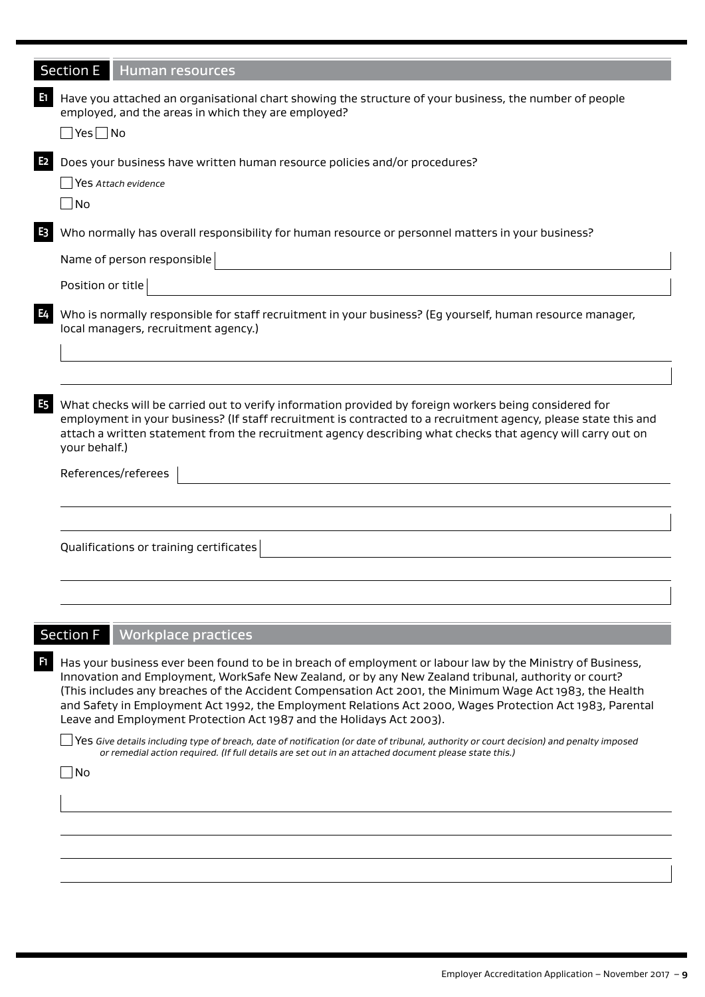|     | <b>Section E</b><br><b>Human resources</b>                                                                                                                                                                                                                                                                                                                                                                                                  |
|-----|---------------------------------------------------------------------------------------------------------------------------------------------------------------------------------------------------------------------------------------------------------------------------------------------------------------------------------------------------------------------------------------------------------------------------------------------|
|     |                                                                                                                                                                                                                                                                                                                                                                                                                                             |
| E1. | Have you attached an organisational chart showing the structure of your business, the number of people<br>employed, and the areas in which they are employed?<br>∏Yes∏No                                                                                                                                                                                                                                                                    |
|     | Does your business have written human resource policies and/or procedures?<br>Yes Attach evidence<br>  No                                                                                                                                                                                                                                                                                                                                   |
| E3  | Who normally has overall responsibility for human resource or personnel matters in your business?<br>Name of person responsible                                                                                                                                                                                                                                                                                                             |
|     | Position or title                                                                                                                                                                                                                                                                                                                                                                                                                           |
| E4  | Who is normally responsible for staff recruitment in your business? (Eg yourself, human resource manager,<br>local managers, recruitment agency.)                                                                                                                                                                                                                                                                                           |
|     |                                                                                                                                                                                                                                                                                                                                                                                                                                             |
| E5  | What checks will be carried out to verify information provided by foreign workers being considered for<br>employment in your business? (If staff recruitment is contracted to a recruitment agency, please state this and<br>attach a written statement from the recruitment agency describing what checks that agency will carry out on<br>your behalf.)                                                                                   |
|     | References/referees                                                                                                                                                                                                                                                                                                                                                                                                                         |
|     |                                                                                                                                                                                                                                                                                                                                                                                                                                             |
|     | Qualifications or training certificates                                                                                                                                                                                                                                                                                                                                                                                                     |
|     |                                                                                                                                                                                                                                                                                                                                                                                                                                             |
|     |                                                                                                                                                                                                                                                                                                                                                                                                                                             |
|     | <b>Section F</b><br><b>Workplace practices</b>                                                                                                                                                                                                                                                                                                                                                                                              |
| F1. | Has your business ever been found to be in breach of employment or labour law by the Ministry of Business,<br>Innovation and Employment, WorkSafe New Zealand, or by any New Zealand tribunal, authority or court?<br>(This includes any breaches of the Accident Compensation Act 2001, the Minimum Wage Act 1983, the Health<br>and Safety in Employment Act 1992, the Employment Relations Act 2000, Wages Protection Act 1983, Parental |

Yes *Give details including type of breach, date of notification (or date of tribunal, authority or court decision) and penalty imposed or remedial action required. (If full details are set out in an attached document please state this.)*

Leave and Employment Protection Act 1987 and the Holidays Act 2003).

No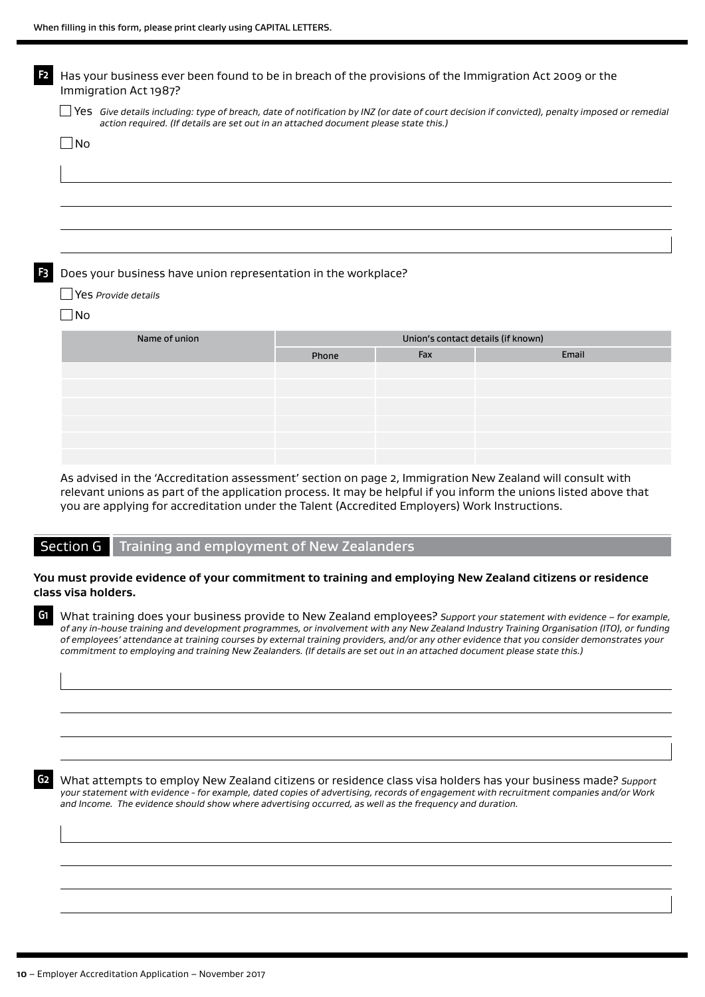| F <sub>2</sub> | Has your business ever been found to be in breach of the provisions of the Immigration Act 2009 or the<br>Immigration Act 1987?                                                                                                       |       |                                    |       |  |
|----------------|---------------------------------------------------------------------------------------------------------------------------------------------------------------------------------------------------------------------------------------|-------|------------------------------------|-------|--|
|                | Yes Give details including: type of breach, date of notification by INZ (or date of court decision if convicted), penalty imposed or remedial<br>action required. (If details are set out in an attached document please state this.) |       |                                    |       |  |
|                | No.                                                                                                                                                                                                                                   |       |                                    |       |  |
|                |                                                                                                                                                                                                                                       |       |                                    |       |  |
|                |                                                                                                                                                                                                                                       |       |                                    |       |  |
|                |                                                                                                                                                                                                                                       |       |                                    |       |  |
|                |                                                                                                                                                                                                                                       |       |                                    |       |  |
| F <sub>3</sub> | Does your business have union representation in the workplace?                                                                                                                                                                        |       |                                    |       |  |
|                | Yes Provide details                                                                                                                                                                                                                   |       |                                    |       |  |
|                | $\Box$ No                                                                                                                                                                                                                             |       |                                    |       |  |
|                | Name of union                                                                                                                                                                                                                         |       | Union's contact details (if known) |       |  |
|                |                                                                                                                                                                                                                                       | Phone | Fax                                | Email |  |
|                |                                                                                                                                                                                                                                       |       |                                    |       |  |
|                |                                                                                                                                                                                                                                       |       |                                    |       |  |
|                |                                                                                                                                                                                                                                       |       |                                    |       |  |
|                |                                                                                                                                                                                                                                       |       |                                    |       |  |
|                |                                                                                                                                                                                                                                       |       |                                    |       |  |

As advised in the 'Accreditation assessment' section on page 2, Immigration New Zealand will consult with relevant unions as part of the application process. It may be helpful if you inform the unions listed above that you are applying for accreditation under the Talent (Accredited Employers) Work Instructions.

#### Section G Training and employment of New Zealanders

#### **You must provide evidence of your commitment to training and employing New Zealand citizens or residence class visa holders.**

**G1** What training does your business provide to New Zealand employees? *Support your statement with evidence – for example, of any in-house training and development programmes, or involvement with any New Zealand Industry Training Organisation (ITO), or funding of employees' attendance at training courses by external training providers, and/or any other evidence that you consider demonstrates your commitment to employing and training New Zealanders. (If details are set out in an attached document please state this.)*

**G2** What attempts to employ New Zealand citizens or residence class visa holders has your business made? *Support your statement with evidence - for example, dated copies of advertising, records of engagement with recruitment companies and/or Work and Income. The evidence should show where advertising occurred, as well as the frequency and duration.*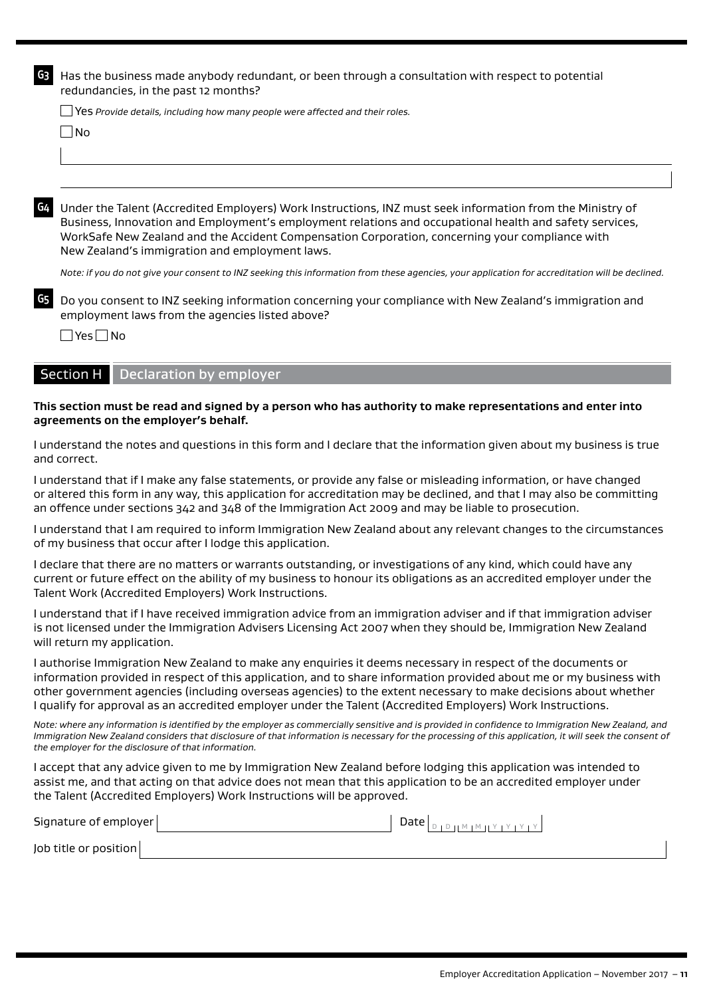**G3** Has the business made anybody redundant, or been through a consultation with respect to potential redundancies, in the past 12 months?

Yes *Provide details, including how many people were affected and their roles.* 

 $\Box$ No

**G4** Under the Talent (Accredited Employers) Work Instructions, INZ must seek information from the Ministry of Business, Innovation and Employment's employment relations and occupational health and safety services, WorkSafe New Zealand and the Accident Compensation Corporation, concerning your compliance with New Zealand's immigration and employment laws.

*Note: if you do not give your consent to INZ seeking this information from these agencies, your application for accreditation will be declined.* 

**G5** Do you consent to INZ seeking information concerning your compliance with New Zealand's immigration and employment laws from the agencies listed above?

 $\Box$  Yes  $\Box$  No

#### **Section H Declaration by employer**

#### **This section must be read and signed by a person who has authority to make representations and enter into agreements on the employer's behalf.**

I understand the notes and questions in this form and I declare that the information given about my business is true and correct.

I understand that if I make any false statements, or provide any false or misleading information, or have changed or altered this form in any way, this application for accreditation may be declined, and that I may also be committing an offence under sections 342 and 348 of the Immigration Act 2009 and may be liable to prosecution.

I understand that I am required to inform Immigration New Zealand about any relevant changes to the circumstances of my business that occur after I lodge this application.

I declare that there are no matters or warrants outstanding, or investigations of any kind, which could have any current or future effect on the ability of my business to honour its obligations as an accredited employer under the Talent Work (Accredited Employers) Work Instructions.

I understand that if I have received immigration advice from an immigration adviser and if that immigration adviser is not licensed under the Immigration Advisers Licensing Act 2007 when they should be, Immigration New Zealand will return my application.

I authorise Immigration New Zealand to make any enquiries it deems necessary in respect of the documents or information provided in respect of this application, and to share information provided about me or my business with other government agencies (including overseas agencies) to the extent necessary to make decisions about whether I qualify for approval as an accredited employer under the Talent (Accredited Employers) Work Instructions.

Note: where any information is identified by the employer as commercially sensitive and is provided in confidence to Immigration New Zealand, and *Immigration New Zealand considers that disclosure of that information is necessary for the processing of this application, it will seek the consent of the employer for the disclosure of that information.*

I accept that any advice given to me by Immigration New Zealand before lodging this application was intended to assist me, and that acting on that advice does not mean that this application to be an accredited employer under the Talent (Accredited Employers) Work Instructions will be approved.

| Signature of employer | Date $\vert_{\text{DIPHMIMHYIYIYIY}}\vert$ |
|-----------------------|--------------------------------------------|
| Job title or position |                                            |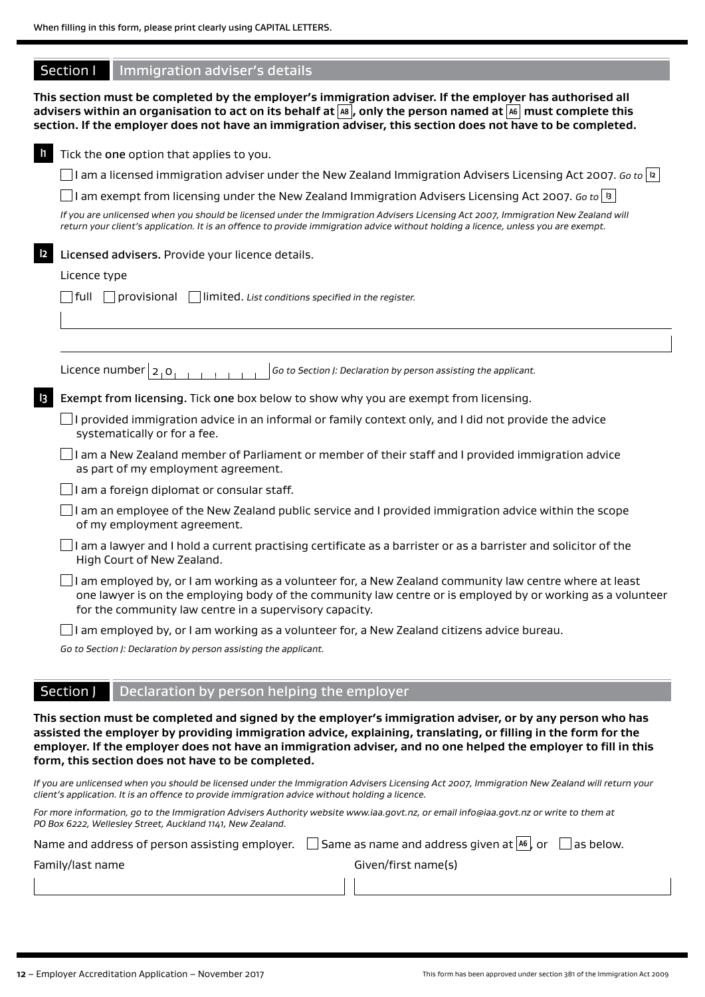|                      | Section I    | Immigration adviser's details                                                                                                                                                                                                                                                                                                                                       |
|----------------------|--------------|---------------------------------------------------------------------------------------------------------------------------------------------------------------------------------------------------------------------------------------------------------------------------------------------------------------------------------------------------------------------|
|                      |              | This section must be completed by the employer's immigration adviser. If the employer has authorised all<br>advisers within an organisation to act on its behalf at $\boxed{\sf{as}}$ , only the person named at $\boxed{\sf{as}}$ must complete this<br>section. If the employer does not have an immigration adviser, this section does not have to be completed. |
| $\mathbf{h}$         |              | Tick the one option that applies to you.                                                                                                                                                                                                                                                                                                                            |
|                      |              | I am a licensed immigration adviser under the New Zealand Immigration Advisers Licensing Act 2007. Go to  2                                                                                                                                                                                                                                                         |
|                      |              | I am exempt from licensing under the New Zealand Immigration Advisers Licensing Act 2007. Go to $ 9\rangle$                                                                                                                                                                                                                                                         |
|                      |              | If you are unlicensed when you should be licensed under the Immigration Advisers Licensing Act 2007, Immigration New Zealand will<br>return your client's application. It is an offence to provide immigration advice without holding a licence, unless you are exempt.                                                                                             |
| $\vert$ 2            |              | Licensed advisers. Provide your licence details.                                                                                                                                                                                                                                                                                                                    |
|                      | Licence type |                                                                                                                                                                                                                                                                                                                                                                     |
|                      | full         | $\vert$ provisional<br>$\Box$ limited. List conditions specified in the register.                                                                                                                                                                                                                                                                                   |
|                      |              |                                                                                                                                                                                                                                                                                                                                                                     |
|                      |              |                                                                                                                                                                                                                                                                                                                                                                     |
|                      |              | Licence number $ 2,0$<br>Go to Section J: Declaration by person assisting the applicant.                                                                                                                                                                                                                                                                            |
| $\vert$ <sub>3</sub> |              | Exempt from licensing. Tick one box below to show why you are exempt from licensing.                                                                                                                                                                                                                                                                                |
|                      |              | $\Box$ I provided immigration advice in an informal or family context only, and I did not provide the advice<br>systematically or for a fee.                                                                                                                                                                                                                        |
|                      |              | $\Box$ I am a New Zealand member of Parliament or member of their staff and I provided immigration advice<br>as part of my employment agreement.                                                                                                                                                                                                                    |
|                      |              | I am a foreign diplomat or consular staff.                                                                                                                                                                                                                                                                                                                          |
|                      |              | I am an employee of the New Zealand public service and I provided immigration advice within the scope<br>of my employment agreement.                                                                                                                                                                                                                                |
|                      |              | I am a lawyer and I hold a current practising certificate as a barrister or as a barrister and solicitor of the<br>High Court of New Zealand.                                                                                                                                                                                                                       |
|                      |              | I am employed by, or I am working as a volunteer for, a New Zealand community law centre where at least<br>one lawyer is on the employing body of the community law centre or is employed by or working as a volunteer<br>for the community law centre in a supervisory capacity.                                                                                   |
|                      |              | I am employed by, or I am working as a volunteer for, a New Zealand citizens advice bureau.                                                                                                                                                                                                                                                                         |
|                      |              | Go to Section J: Declaration by person assisting the applicant.                                                                                                                                                                                                                                                                                                     |
|                      |              |                                                                                                                                                                                                                                                                                                                                                                     |

## Section J Declaration by person helping the employer

**This section must be completed and signed by the employer's immigration adviser, or by any person who has assisted the employer by providing immigration advice, explaining, translating, or filling in the form for the employer. If the employer does not have an immigration adviser, and no one helped the employer to fill in this form, this section does not have to be completed.**

*If you are unlicensed when you should be licensed under the Immigration Advisers Licensing Act 2007, Immigration New Zealand will return your client's application. It is an offence to provide immigration advice without holding a licence.*

*For more information, go to the Immigration Advisers Authority website www.iaa.govt.nz, or email info@iaa.govt.nz or write to them at PO Box 6222, Wellesley Street, Auckland 1141, New Zealand.*

| Name and address of person assisting employer. | $\Box$ Same as name and address given at $\Box$ or<br>$\Box$ as below. |
|------------------------------------------------|------------------------------------------------------------------------|
| Family/last name                               | Given/first name(s)                                                    |
|                                                |                                                                        |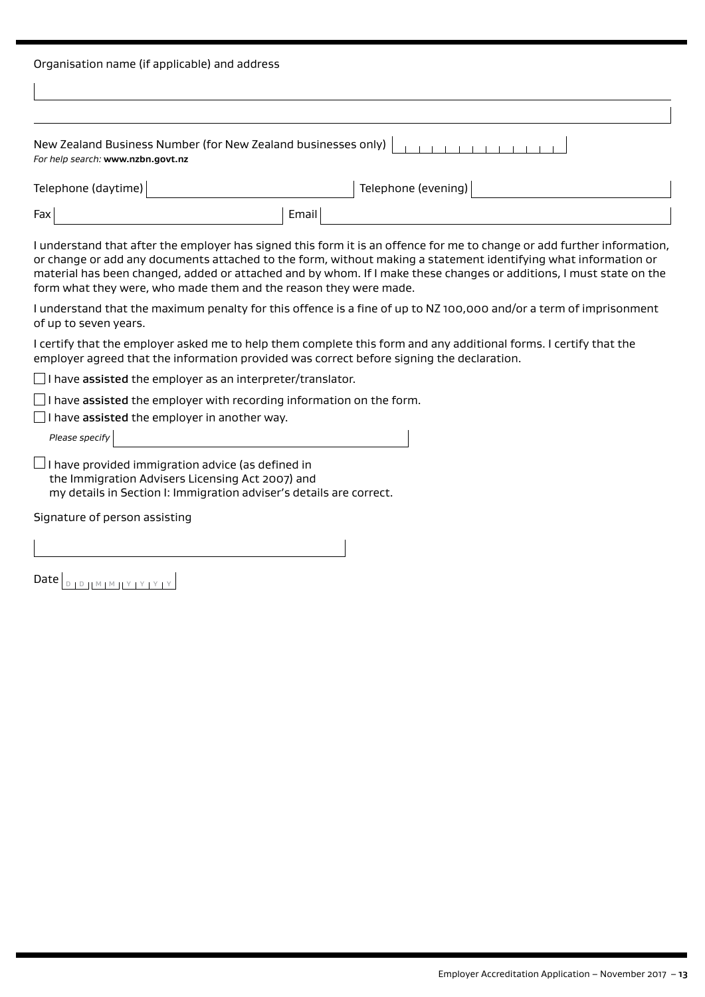| Organisation name (if applicable) and address                                                                                                                                                                                                                                                                                                                                                                                          |                     |  |  |  |
|----------------------------------------------------------------------------------------------------------------------------------------------------------------------------------------------------------------------------------------------------------------------------------------------------------------------------------------------------------------------------------------------------------------------------------------|---------------------|--|--|--|
|                                                                                                                                                                                                                                                                                                                                                                                                                                        |                     |  |  |  |
|                                                                                                                                                                                                                                                                                                                                                                                                                                        |                     |  |  |  |
| New Zealand Business Number (for New Zealand businesses only)<br>For help search: www.nzbn.govt.nz                                                                                                                                                                                                                                                                                                                                     |                     |  |  |  |
| Telephone (daytime)                                                                                                                                                                                                                                                                                                                                                                                                                    | Telephone (evening) |  |  |  |
| Email<br>Fax                                                                                                                                                                                                                                                                                                                                                                                                                           |                     |  |  |  |
| I understand that after the employer has signed this form it is an offence for me to change or add further information,<br>or change or add any documents attached to the form, without making a statement identifying what information or<br>material has been changed, added or attached and by whom. If I make these changes or additions, I must state on the<br>form what they were, who made them and the reason they were made. |                     |  |  |  |
| I understand that the maximum penalty for this offence is a fine of up to NZ 100,000 and/or a term of imprisonment<br>of up to seven years.                                                                                                                                                                                                                                                                                            |                     |  |  |  |
| I certify that the employer asked me to help them complete this form and any additional forms. I certify that the<br>employer agreed that the information provided was correct before signing the declaration.                                                                                                                                                                                                                         |                     |  |  |  |
| $\Box$ I have assisted the employer as an interpreter/translator.                                                                                                                                                                                                                                                                                                                                                                      |                     |  |  |  |
| $\Box$ I have assisted the employer with recording information on the form.                                                                                                                                                                                                                                                                                                                                                            |                     |  |  |  |
| I have assisted the employer in another way.<br>Please specify                                                                                                                                                                                                                                                                                                                                                                         |                     |  |  |  |
| $\Box$ I have provided immigration advice (as defined in<br>the Immigration Advisers Licensing Act 2007) and<br>my details in Section I: Immigration adviser's details are correct.                                                                                                                                                                                                                                                    |                     |  |  |  |
| Signature of person assisting                                                                                                                                                                                                                                                                                                                                                                                                          |                     |  |  |  |
|                                                                                                                                                                                                                                                                                                                                                                                                                                        |                     |  |  |  |

Date <sup>D</sup> <sup>D</sup> <sup>M</sup> <sup>M</sup> <sup>Y</sup> <sup>Y</sup> <sup>Y</sup> <sup>Y</sup>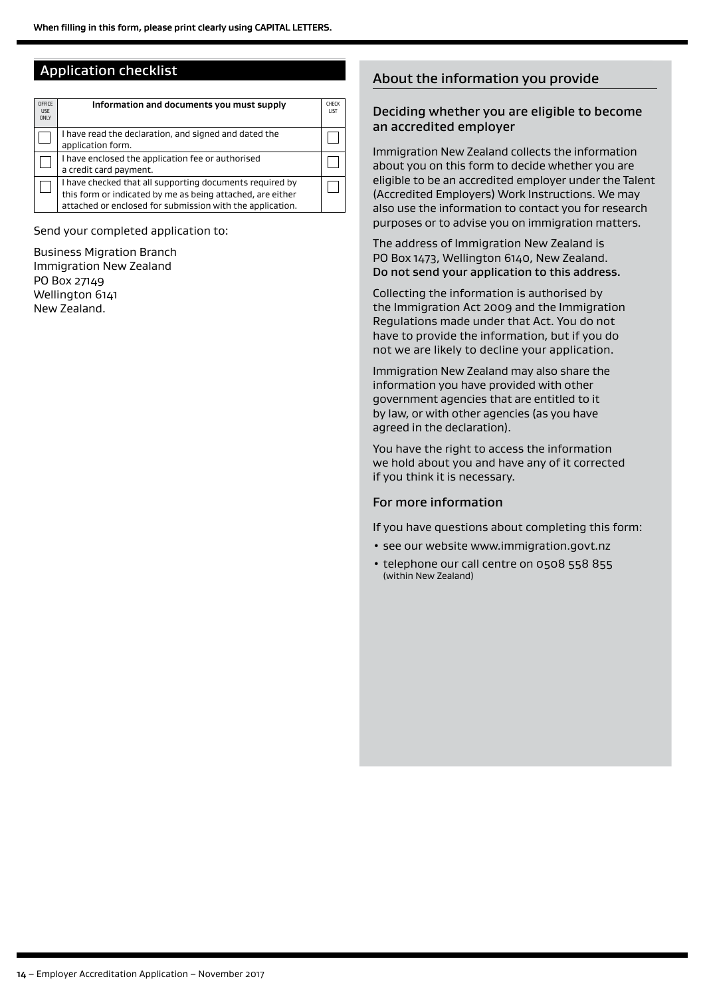## Application checklist

| OFFICE<br><b>USF</b><br><b>ONLY</b> | Information and documents you must supply                                                                                                                                           | <b>CHFCK</b><br><b>IIST</b> |
|-------------------------------------|-------------------------------------------------------------------------------------------------------------------------------------------------------------------------------------|-----------------------------|
|                                     | I have read the declaration, and signed and dated the<br>application form.                                                                                                          |                             |
|                                     | I have enclosed the application fee or authorised<br>a credit card payment.                                                                                                         |                             |
|                                     | I have checked that all supporting documents required by<br>this form or indicated by me as being attached, are either<br>attached or enclosed for submission with the application. |                             |

Send your completed application to:

Business Migration Branch Immigration New Zealand PO Box 27149 Wellington 6141 New Zealand.

## About the information you provide

#### Deciding whether you are eligible to become an accredited employer

Immigration New Zealand collects the information about you on this form to decide whether you are eligible to be an accredited employer under the Talent (Accredited Employers) Work Instructions. We may also use the information to contact you for research purposes or to advise you on immigration matters.

The address of Immigration New Zealand is PO Box 1473, Wellington 6140, New Zealand. Do not send your application to this address.

Collecting the information is authorised by the Immigration Act 2009 and the Immigration Regulations made under that Act. You do not have to provide the information, but if you do not we are likely to decline your application.

Immigration New Zealand may also share the information you have provided with other government agencies that are entitled to it by law, or with other agencies (as you have agreed in the declaration).

You have the right to access the information we hold about you and have any of it corrected if you think it is necessary.

#### For more information

If you have questions about completing this form:

- see our website www.immigration.govt.nz
- telephone our call centre on 0508 558 855 (within New Zealand)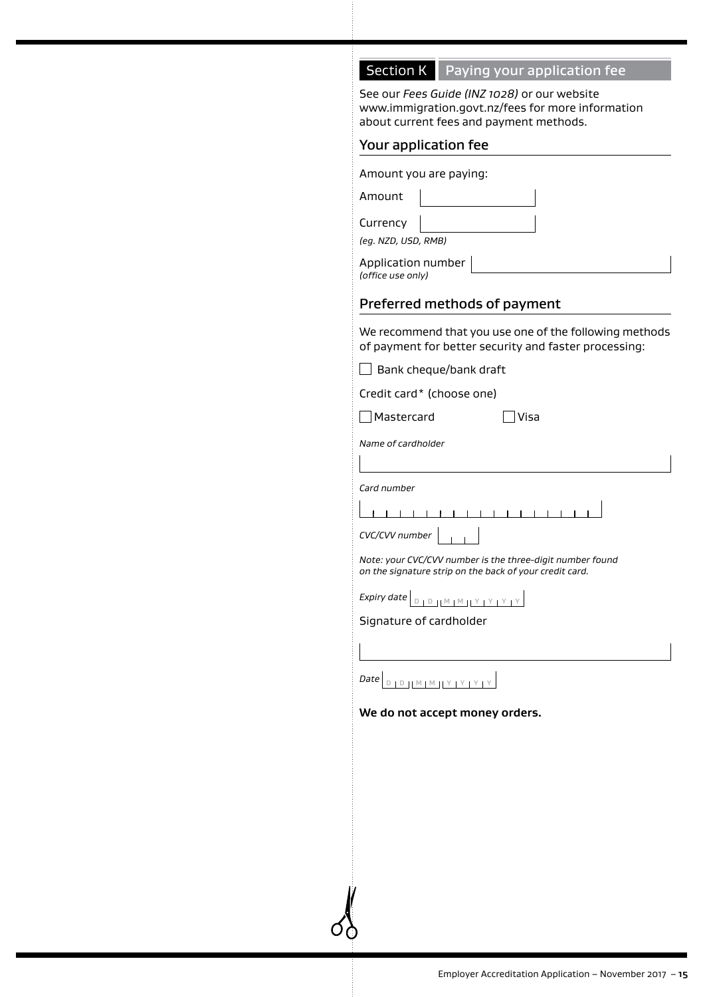## **Section K** Paying your application fee

See our *Fees Guide (INZ 1028)* or our website www.immigration.govt.nz/fees for more information about current fees and payment methods.

#### Your application fee

| Preferred methods of payment            |                        |  |  |
|-----------------------------------------|------------------------|--|--|
| Application number<br>(office use only) |                        |  |  |
| (eg. NZD, USD, RMB)                     |                        |  |  |
| Currency                                |                        |  |  |
| Amount                                  |                        |  |  |
|                                         | Amount you are paying: |  |  |

We recommend that you use one of the following methods of payment for better security and faster processing:

| $\Box$ Bank cheque/bank draft |  |
|-------------------------------|--|
|                               |  |

Credit card\* (choose one)

Mastercard Visa

*Name of cardholder*

*Card number*

*CVC/CVV number*

*Note: your CVC/CVV number is the three-digit number found on the signature strip on the back of your credit card.*

*Expiry date*  $\boxed{D + D + M + M + Y + Y + Y + Y}$ 

Signature of cardholder

**Date** D **D** D M M Y Y Y Y Y

**We do not accept money orders.**